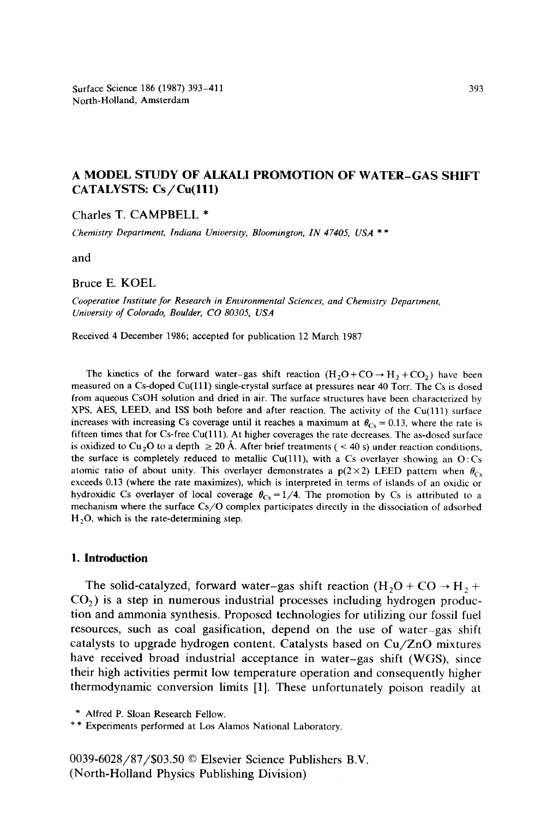Surface Science 186 (1987) 393-411 North-Holland, Amsterdam

# **A MODEL STUDY OF ALKALI PROMOTION OF WATER-GAS SHIFT CATALYSTS:** Cs/Cu(lll)

Charles T. CAMPBELL \*

*Chemistry Department, Indiana University, Bloomington, IN 47405, USA \* \** 

and

#### Bruce E. KOEL

*Cooperative Institute for Research in Environmental Sciences, and Chemistry Department, University of Colorado, Boulder, CO 80305, USA* 

Received 4 December 1986; accepted for publication 12 March 1987

The kinetics of the forward water-gas shift reaction  $(H_2O+CO \rightarrow H_2+CO_2)$  have been measured on a Cs-doped Cu(lll) single-crystal surface at pressures near 40 Torr. The Cs is dosed from aqueous CsOH solution and dried in air. The surface structures have been characterized by XPS, AES, LEED, and ISS both before and after reaction. The activity of the Cu(lll) surface increases with increasing Cs coverage until it reaches a maximum at  $\theta_{\text{Cs}} = 0.13$ , where the rate is fifteen times that for Cs-free Cu(111). At higher coverages the rate decreases. The as-dosed surface is oxidized to Cu<sub>2</sub>O to a depth  $\geq 20$  Å. After brief treatments ( < 40 s) under reaction conditions, the surface is completely reduced to metallic Cu(111), with a Cs overlayer showing an  $O:Cs$ atomic ratio of about unity. This overlayer demonstrates a  $p(2\times2)$  LEED pattern when  $\theta_{Cs}$ exceeds 0.13 (where the rate maximizes), which is interpreted in terms of islands of an oxidic or hydroxidic Cs overlayer of local coverage  $\theta_{\text{Cs}} = 1/4$ . The promotion by Cs is attributed to a mechanism where the surface Cs/O complex participates directly in the dissociation of adsorbed  $H<sub>2</sub>O$ , which is the rate-determining step.

#### **1. Introduction**

The solid-catalyzed, forward water-gas shift reaction  $(H<sub>2</sub>O + CO \rightarrow H<sub>2</sub> +$  $CO<sub>2</sub>$ ) is a step in numerous industrial processes including hydrogen production and ammonia synthesis. Proposed technologies for utilizing our fossil fuel resources, such as coal gasification, depend on the use of water-gas shift catalysts to upgrade hydrogen content. Catalysts based on Cu/ZnO mixtures have received broad industrial acceptance in water-gas shift (WGS), since their high activities permit low temperature operation and consequently higher thermodynamic conversion limits [1]. These unfortunately poison readily at

0039-6028/87/\$03.50 © Elsevier Science Publishers B.V. (North-Holland Physics Publishing Division)

<sup>\*</sup> Alfred P. Sloan Research Fellow.

<sup>\* \*</sup> Experiments performed at Los Alamos National Laboratory.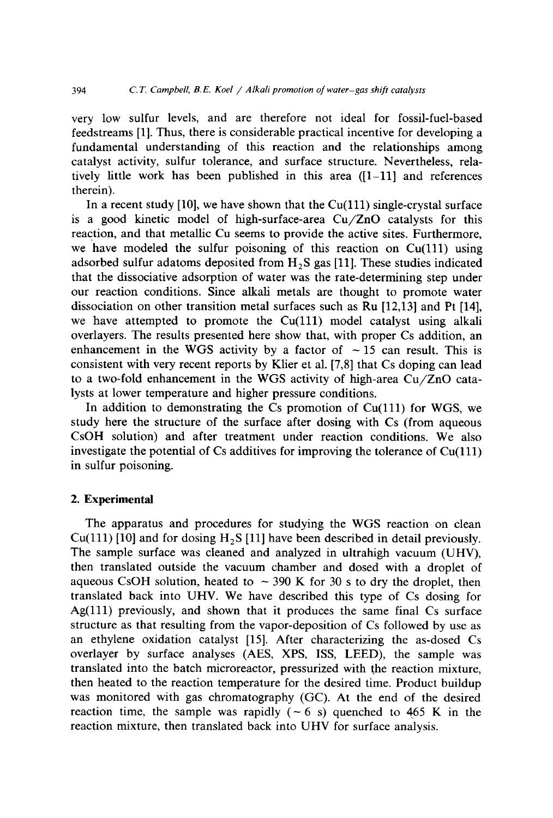very low sulfur levels, and are therefore not ideal for fossil-fuel-based feedstreams [1]. Thus, there is considerable practical incentive for developing a fundamental understanding of this reaction and the relationships among catalyst activity, sulfur tolerance, and surface structure. Nevertheless, relatively little work has been published in this area  $(1-11)$  and references therein).

In a recent study [10], we have shown that the  $Cu(111)$  single-crystal surface is a good kinetic model of high-surface-area Cu/ZnO catalysts for this reaction, and that metallic Cu seems to provide the active sites. Furthermore, we have modeled the sulfur poisoning of this reaction on  $Cu(111)$  using adsorbed sulfur adatoms deposited from  $H_2S$  gas [11]. These studies indicated that the dissociative adsorption of water was the rate-determining step under our reaction conditions. Since alkali metals are thought to promote water dissociation on other transition metal surfaces such as Ru [12,13] and Pt [14], we have attempted to promote the Cu(111) model catalyst using alkali overlayers. The results presented here show that, with proper Cs addition, an enhancement in the WGS activity by a factor of  $\sim$  15 can result. This is consistent with very recent reports by Klier et al. [7,8] that Cs doping can lead to a two-fold enhancement in the WGS activity of high-area Cu/ZnO catalysts at lower temperature and higher pressure conditions.

In addition to demonstrating the Cs promotion of  $Cu(111)$  for WGS, we study here the structure of the surface after dosing with Cs (from aqueous CsOH solution) and after treatment under reaction conditions. We also investigate the potential of  $Cs$  additives for improving the tolerance of  $Cu(111)$ in sulfur poisoning.

### **2. Experimental**

The apparatus and procedures for studying the WGS reaction on clean  $Cu(111)$  [10] and for dosing H<sub>2</sub>S [11] have been described in detail previously. The sample surface was cleaned and analyzed in ultrahigh vacuum (UHV), then translated outside the vacuum chamber and dosed with a droplet of aqueous CsOH solution, heated to  $\sim$  390 K for 30 s to dry the droplet, then translated back into UHV. We have described this type of Cs dosing for Ag(111) previously, and shown that it produces the same final Cs surface structure as that resulting from the vapor-deposition of Cs followed by use as an ethylene oxidation catalyst [15]. After characterizing the as-dosed Cs overlayer by surface analyses (AES, XPS, ISS, LEED), the sample was translated into the batch microreactor, pressurized with the reaction mixture, then heated to the reaction temperature for the desired time. Product buildup was monitored with gas chromatography (GC). At the end of the desired reaction time, the sample was rapidly  $(-6 s)$  quenched to 465 K in the reaction mixture, then translated back into UHV for surface analysis.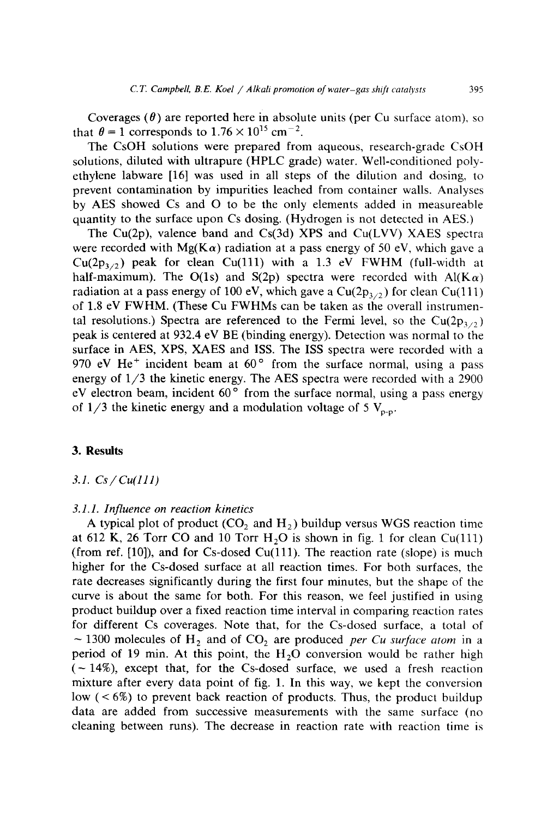Coverages  $(\theta)$  are reported here in absolute units (per Cu surface atom), so that  $\theta = 1$  corresponds to  $1.76 \times 10^{15}$  cm<sup>-2</sup>.

The CsOH solutions were prepared from aqueous, research-grade CsOH solutions, diluted with ultrapure (HPLC grade) water. Well-conditioned polyethylene labware [16] was used in all steps of the dilution and dosing, to prevent contamination by impurities leached from container walls. Analyses by AES showed Cs and O to be the only elements added in measureable quantity to the surface upon Cs dosing. (Hydrogen is not detected in AES.)

The Cu(2p), valence band and Cs(3d) XPS and Cu(LVV) XAES spectra were recorded with Mg( $K\alpha$ ) radiation at a pass energy of 50 eV, which gave a  $Cu(2p_{3/2})$  peak for clean Cu(111) with a 1.3 eV FWHM (full-width at half-maximum). The O(1s) and S(2p) spectra were recorded with  $Al(K\alpha)$ radiation at a pass energy of 100 eV, which gave a  $Cu(2p_{3/2})$  for clean Cu(111) of 1.8 eV FWHM. (These Cu FWHMs can be taken as the overall instrumental resolutions.) Spectra are referenced to the Fermi level, so the Cu(2p<sub>3/2</sub>) peak is centered at 932.4 eV BE (binding energy). Detection was normal to the surface in AES, XPS, XAES and ISS. The ISS spectra were recorded with a 970 eV He<sup>+</sup> incident beam at  $60^\circ$  from the surface normal, using a pass energy of 1/3 the kinetic energy. The AES spectra were recorded with a 2900 eV electron beam, incident  $60^\circ$  from the surface normal, using a pass energy of  $1/3$  the kinetic energy and a modulation voltage of 5  $V_{p-p}$ .

## **3. Results**

*3.1. Cs/Cu(111)* 

### *3.1.1. Influence on reaction kinetics*

A typical plot of product ( $CO<sub>2</sub>$  and  $H<sub>2</sub>$ ) buildup versus WGS reaction time at 612 K, 26 Torr CO and 10 Torr  $H<sub>2</sub>O$  is shown in fig. 1 for clean Cu(111) (from ref.  $[10]$ ), and for Cs-dosed Cu(111). The reaction rate (slope) is much higher for the Cs-dosed surface at all reaction times. For both surfaces, the rate decreases significantly during the first four minutes, but the shape of the curve is about the same for both. For this reason, we feel justified in using product buildup over a fixed reaction time interval in comparing reaction rates for different Cs coverages. Note that, for the Cs-dosed surface, a total of  $\sim$  1300 molecules of H<sub>2</sub> and of CO<sub>2</sub> are produced *per Cu surface atom* in a period of 19 min. At this point, the  $H<sub>2</sub>O$  conversion would be rather high  $(-14%)$ , except that, for the Cs-dosed surface, we used a fresh reaction mixture after every data point of fig. 1. In this way, we kept the conversion low  $(< 6\%)$  to prevent back reaction of products. Thus, the product buildup data are added from successive measurements with the same surface (no cleaning between runs). The decrease in reaction rate with reaction time is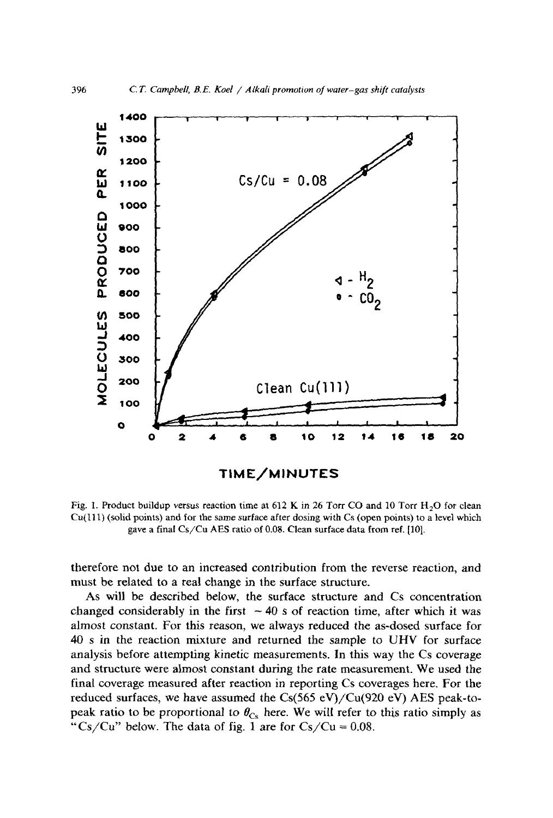

Fig. 1. Product buildup versus reaction time at 612 K in 26 Torr CO and 10 Torr  $H_2O$  for clean  $Cu(111)$  (solid points) and for the same surface after dosing with Cs (open points) to a level which gave a final Cs/Cu AES ratio of 0.08. Clean surface data from ref. [101.

therefore not due to an increased contribution from the reverse reaction, and must be related to a real change in the surface structure.

As will be described below, the surface structure and Cs concentration changed considerably in the first  $\sim$  40 s of reaction time, after which it was almost constant. For this reason, we always reduced the as-dosed surface for 40 s in the reaction mixture and returned the sample to UHV for surface analysis before attempting kinetic measurements. In this way the Cs coverage and structure were almost constant during the rate measurement. We used the final coverage measured after reaction in reporting Cs coverages here. For the reduced surfaces, we have assumed the Cs(565 eV)/Cu(920 eV) AES peak-topeak ratio to be proportional to  $\theta_{\text{Cs}}$  here. We will refer to this ratio simply as "Cs/Cu" below. The data of fig. 1 are for  $Cs/Cu = 0.08$ .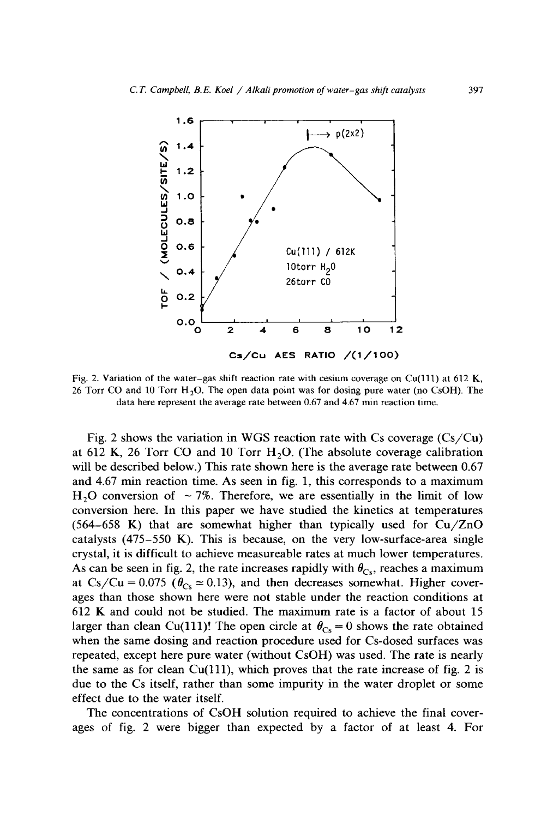

Fig. 2. Variation of the water-gas shift reaction rate with cesium coverage on Cu(111) at 612 K, 26 Torr CO and 10 Torr  $H<sub>2</sub>O$ . The open data point was for dosing pure water (no CsOH). The data here represent the average rate between 0.67 and 4.67 min reaction time.

Fig. 2 shows the variation in WGS reaction rate with Cs coverage  $(Cs/Cu)$ at 612 K, 26 Torr CO and 10 Torr  $H<sub>2</sub>O$ . (The absolute coverage calibration will be described below.) This rate shown here is the average rate between 0.67 and 4.67 min reaction time. As seen in fig. 1, this corresponds to a maximum  $H<sub>2</sub>O$  conversion of  $\sim$  7%. Therefore, we are essentially in the limit of low conversion here. In this paper we have studied the kinetics at temperatures  $(564-658)$  K) that are somewhat higher than typically used for Cu/ZnO catalysts (475-550 K). This is because, on the very low-surface-area single crystal, it is difficult to achieve measureable rates at much lower temperatures. As can be seen in fig. 2, the rate increases rapidly with  $\theta_{Cs}$ , reaches a maximum at Cs/Cu = 0.075 ( $\theta_{\text{Cs}} \approx 0.13$ ), and then decreases somewhat. Higher coverages than those shown here were not stable under the reaction conditions at 612 K and could not be studied. The maximum rate is a factor of about 15 larger than clean Cu(111)! The open circle at  $\theta_{\text{Cs}} = 0$  shows the rate obtained when the same dosing and reaction procedure used for Cs-dosed surfaces was repeated, except here pure water (without CsOH) was used. The rate is nearly the same as for clean  $Cu(111)$ , which proves that the rate increase of fig. 2 is due to the Cs itself, rather than some impurity in the water droplet or some effect due to the water itself.

The concentrations of CsOH solution required to achieve the final coverages of fig. 2 were bigger than expected by a factor of at least 4. For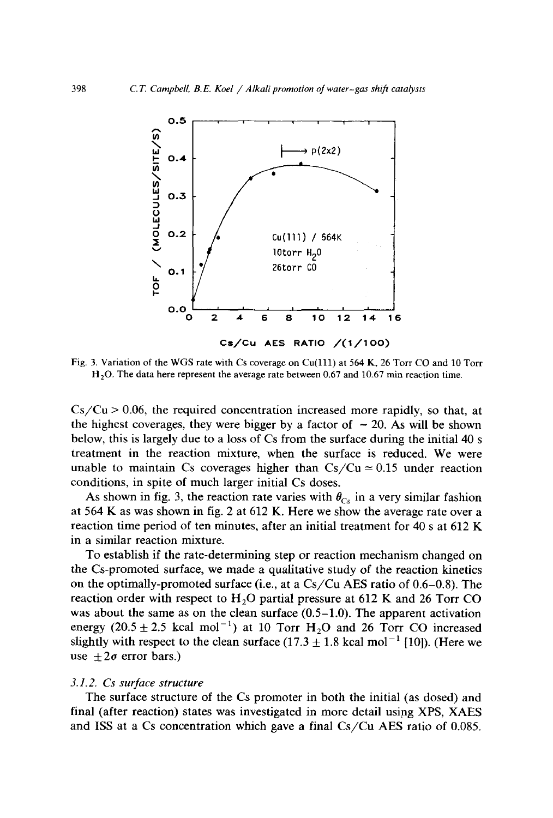

Fig. 3. Variation of the WGS rate with Cs coverage on Cu(lll) at 564 K, 26 Torr CO and 10 Torr  $H<sub>2</sub>O$ . The data here represent the average rate between 0.67 and 10.67 min reaction time.

 $Cs/Cu > 0.06$ , the required concentration increased more rapidly, so that, at the highest coverages, they were bigger by a factor of  $\sim$  20. As will be shown below, this is largely due to a loss of Cs from the surface during the initial 40 s treatment in the reaction mixture, when the surface is reduced. We were unable to maintain Cs coverages higher than  $Cs/Cu = 0.15$  under reaction conditions, in spite of much larger initial Cs doses.

As shown in fig. 3, the reaction rate varies with  $\theta_{Cs}$  in a very similar fashion at 564 K as was shown in fig. 2 at 612 K. Here we show the average rate over a reaction time period of ten minutes, after an initial treatment for 40 s at 612 K in a similar reaction mixture.

To establish if the rate-determining step or reaction mechanism changed on the Cs-promoted surface, we made a qualitative study of the reaction kinetics on the optimally-promoted surface (i.e., at a Cs/Cu AES ratio of 0.6-0.8). The reaction order with respect to  $H<sub>2</sub>O$  partial pressure at 612 K and 26 Torr CO was about the same as on the clean surface (0.5-1.0). The apparent activation energy  $(20.5 \pm 2.5 \text{ kcal mol}^{-1})$  at 10 Torr H<sub>2</sub>O and 26 Torr CO increased slightly with respect to the clean surface  $(17.3 \pm 1.8 \text{ kcal mol}^{-1}$  [10]). (Here we use  $\pm 2\sigma$  error bars.)

### *3.1.2. Cs surface structure*

The surface structure of the Cs promoter in both the initial (as dosed) and final (after reaction) states was investigated in more detail using XPS, XAES and ISS at a Cs concentration which gave a final Cs/Cu AES ratio of 0.085.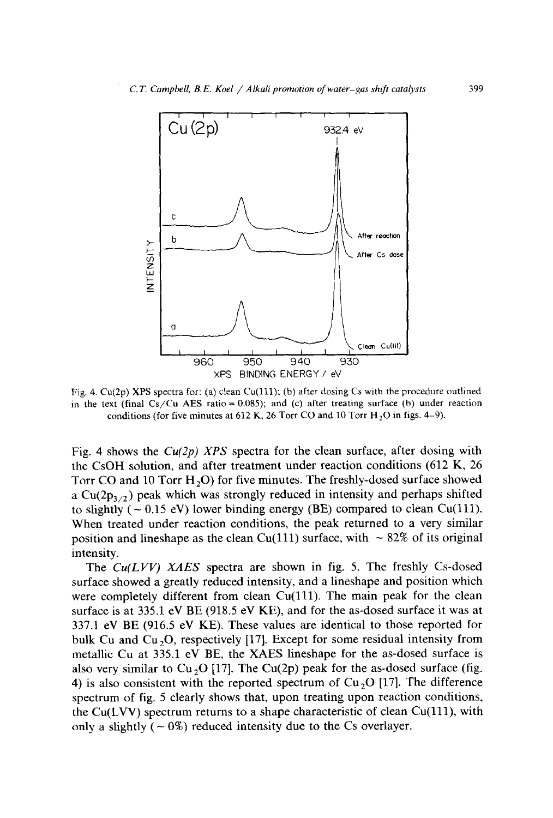

Fig. 4.  $Cu(2p)$  XPS spectra for: (a) clean Cu(111); (b) after dosing Cs with the procedure outlined in the text (final  $Cs/Cu$  AES ratio = 0.085); and (c) after treating surface (b) under reaction conditions (for five minutes at 612 K, 26 Torr CO and 10 Torr  $H_2O$  in figs. 4-9).

Fig. 4 shows the *Cu(2p) XPS* spectra for the clean surface, after dosing with the CsOH solution, and after treatment under reaction conditions (612 K, 26 Torr CO and 10 Torr H<sub>2</sub>O) for five minutes. The freshly-dosed surface showed a  $Cu(2p_{3/2})$  peak which was strongly reduced in intensity and perhaps shifted to slightly ( $\sim 0.15$  eV) lower binding energy (BE) compared to clean Cu(111). When treated under reaction conditions, the peak returned to a very similar position and lineshape as the clean Cu(111) surface, with  $\sim 82\%$  of its original intensity.

The *Cu(LVV) XAES* spectra are shown in fig. 5. The freshly Cs-dosed surface showed a greatly reduced intensity, and a lineshape and position which were completely different from clean  $Cu(111)$ . The main peak for the clean surface is at 335.1 eV BE (918.5 eV KE), and for the as-dosed surface it was at 337.1 eV BE (916.5 eV KE). These values are identical to those reported for bulk Cu and Cu<sub>2</sub>O, respectively [17]. Except for some residual intensity from metallic Cu at 335.1 eV BE, the XAES lineshape for the as-dosed surface is also very similar to Cu<sub>2</sub>O [17]. The Cu(2p) peak for the as-dosed surface (fig. 4) is also consistent with the reported spectrum of  $Cu<sub>2</sub>O$  [17]. The difference spectrum of fig. 5 clearly shows that, upon treating upon reaction conditions, the  $Cu(LVV)$  spectrum returns to a shape characteristic of clean  $Cu(111)$ , with only a slightly  $(-0\%)$  reduced intensity due to the Cs overlayer.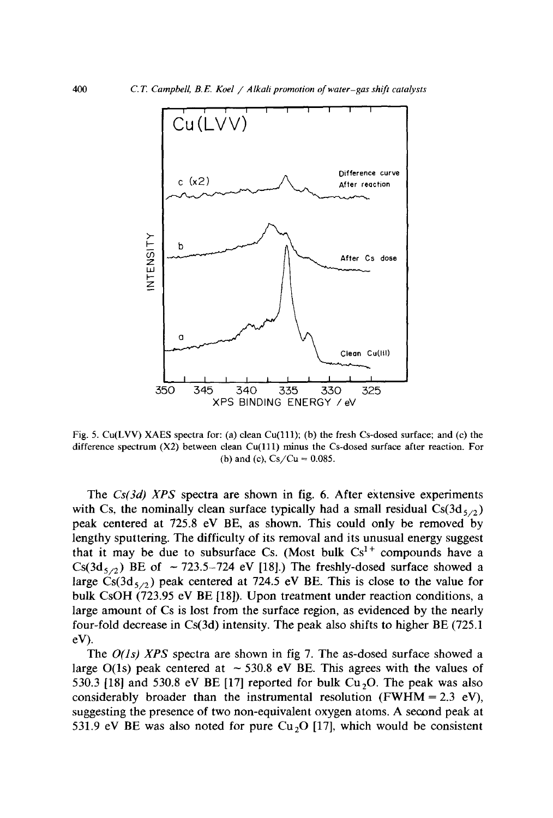

Fig. 5. Cu(LVV) XAES spectra for: (a) clean Cu(111); (b) the fresh Cs-dosed surface; and (c) the difference spectrum (X2) between clean Cu(111) minus the Cs-dosed surface after reaction. For (b) and (c),  $Cs/Cu = 0.085$ .

The *Cs(3d) XPS* spectra are shown in fig. 6. After extensive experiments with Cs, the nominally clean surface typically had a small residual  $Cs(3d_{5/2})$ peak centered at 725.8 eV BE, as shown. This could only be removed by lengthy sputtering. The difficulty of its removal and its unusual energy suggest that it may be due to subsurface Cs. (Most bulk  $Cs<sup>1+</sup>$  compounds have a Cs(3d<sub>5/2</sub>) BE of  $\sim$  723.5-724 eV [18].) The freshly-dosed surface showed a large  $\text{Cs}(3d_{5/2})$  peak centered at 724.5 eV BE. This is close to the value for bulk CsOH (723.95 eV BE [18]). Upon treatment under reaction conditions, a large amount of Cs is lost from the surface region, as evidenced by the nearly four-fold decrease in Cs(3d) intensity. The peak also shifts to higher BE (725.1 eV).

The *O(ls) XPS* spectra are shown in fig 7. The as-dosed surface showed a large O(1s) peak centered at  $\sim$  530.8 eV BE. This agrees with the values of 530.3 [18] and 530.8 eV BE [17] reported for bulk  $Cu<sub>2</sub>O$ . The peak was also considerably broader than the instrumental resolution (FWHM =  $2.3 \text{ eV}$ ), suggesting the presence of two non-equivalent oxygen atoms. A second peak at 531.9 eV BE was also noted for pure  $Cu<sub>2</sub>O$  [17], which would be consistent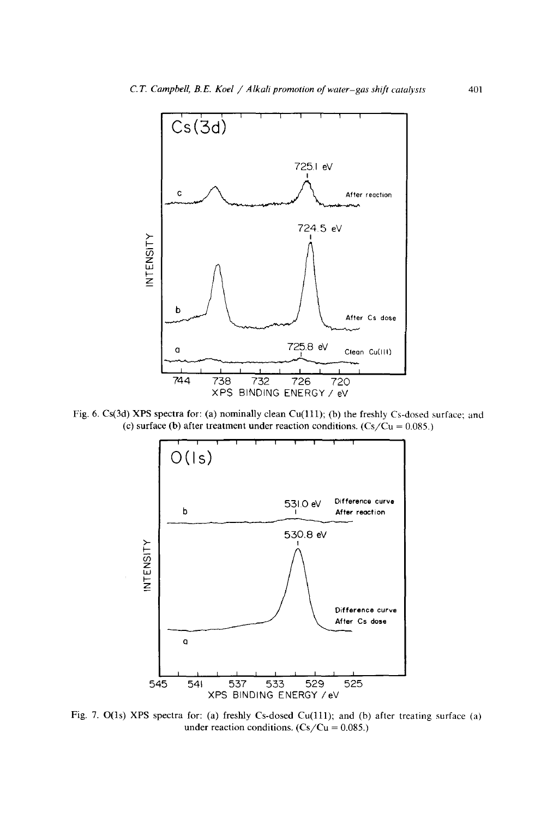

Fig. 6. Cs(3d) XPS spectra for: (a) nominally clean Cu(111); (b) the freshly Cs-dosed surface; and (c) surface (b) after treatment under reaction conditions.  $(Cs/Cu = 0.085.)$ 



Fig. 7. O(ls) XPS spectra for: (a) freshly Cs-dosed Cu(lll); and (b) after treating surface (a) under reaction conditions.  $(Cs/Cu = 0.085.)$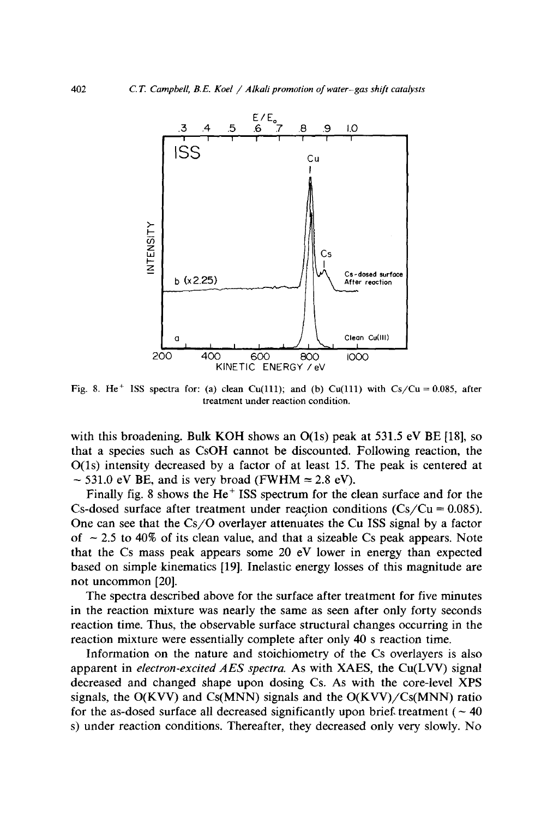

Fig. 8. He<sup>+</sup> ISS spectra for: (a) clean Cu(111); and (b) Cu(111) with Cs/Cu = 0.085, after treatment under reaction condition.

with this broadening. Bulk KOH shows an  $O(1s)$  peak at 531.5 eV BE [18], so that a species such as CsOH cannot be discounted. Following reaction, the O(ls) intensity decreased by a factor of at least 15. The peak is centered at  $\sim$  531.0 eV BE, and is very broad (FWHM  $\approx$  2.8 eV).

Finally fig. 8 shows the He<sup> $+$ </sup> ISS spectrum for the clean surface and for the Cs-dosed surface after treatment under reaction conditions  $(Cs/Cu = 0.085)$ . One can see that the Cs/O overlayer attenuates the Cu ISS signal by a factor of  $\sim$  2.5 to 40% of its clean value, and that a sizeable Cs peak appears. Note that the Cs mass peak appears some 20 eV lower in energy than expected based on simple kinematics [19]. Inelastic energy losses of this magnitude are not uncommon [20].

The spectra described above for the surface after treatment for five minutes in the reaction mixture was nearly the same as seen after only forty seconds reaction time. Thus, the observable surface structural changes occurring in the reaction mixture were essentially complete after only 40 s reaction time.

Information on the nature and stoichiometry of the Cs overlayers is also apparent in *electron-excited AES spectra.* As with XAES, the Cu(LVV) signal decreased and changed shape upon dosing Cs. As with the core-level XPS signals, the  $O(KVV)$  and  $Cs(MNN)$  signals and the  $O(KVV)/Cs(MNN)$  ratio for the as-dosed surface all decreased significantly upon brief, treatment ( $\sim$  40) s) under reaction conditions. Thereafter, they decreased only very slowly. No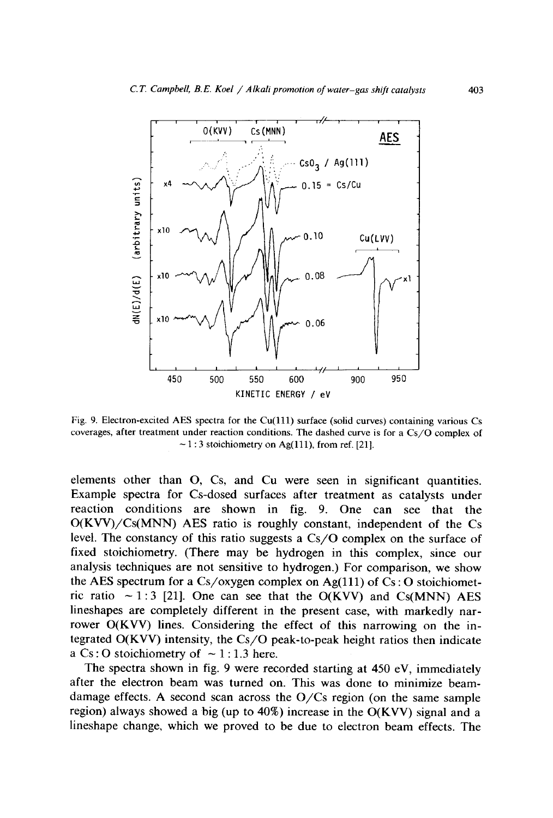

Fig. 9. Electron-excited AES spectra for the  $Cu(111)$  surface (solid curves) containing various Cs coverages, after treatment under reaction conditions. The dashed curve is for a Cs/O complex of  $\sim$  1 : 3 stoichiometry on Ag(111), from ref. [21].

elements other than O, Cs, and Cu were seen in significant quantities. Example spectra for Cs-dosed surfaces after treatment as catalysts under reaction conditions are shown in fig. 9. One can see that the O(KVV)/Cs(MNN) AES ratio is roughly constant, independent of the Cs level. The constancy of this ratio suggests a Cs/O complex on the surface of fixed stoichiometry. (There may be hydrogen in this complex, since our analysis techniques are not sensitive to hydrogen.) For comparison, we show the AES spectrum for a  $Cs$ /oxygen complex on Ag(111) of  $Cs$ : O stoichiometric ratio  $\sim$  1:3 [21]. One can see that the O(KVV) and Cs(MNN) AES lineshapes are completely different in the present case, with markedly narrower O(KVV) lines. Considering the effect of this narrowing on the integrated O(KVV) intensity, the Cs/O peak-to-peak height ratios then indicate a  $Cs:O$  stoichiometry of  $\sim$  1:1.3 here.

The spectra shown in fig. 9 were recorded starting at 450 eV, immediately after the electron beam was turned on. This was done to minimize beamdamage effects. A second scan across the O/Cs region (on the same sample region) always showed a big (up to  $40\%$ ) increase in the O(KVV) signal and a lineshape change, which we proved to be due to electron beam effects. The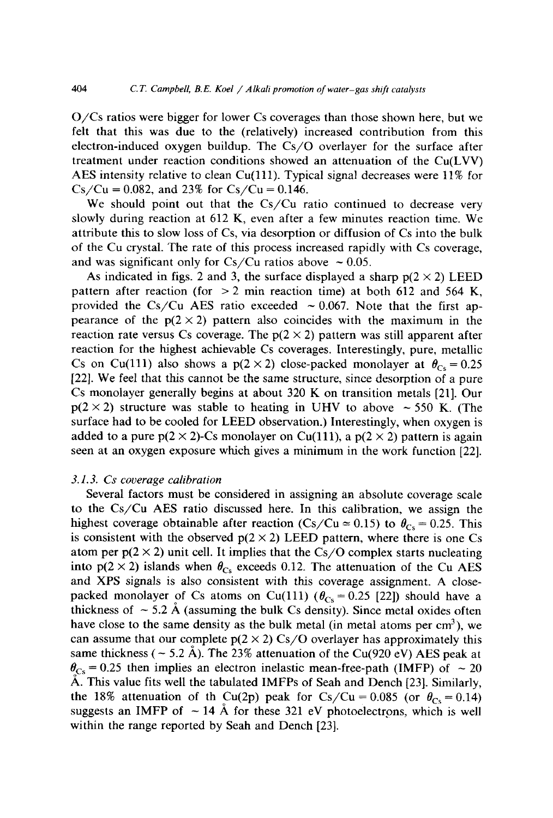O/Cs ratios were bigger for lower Cs coverages than those shown here, but we felt that this was due to the (relatively) increased contribution from this electron-induced oxygen buildup. The Cs/O overlayer for the surface after treatment under reaction conditions showed an attenuation of the Cu(LVV) AES intensity relative to clean Cu(111). Typical signal decreases were 11% for  $Cs/Cu = 0.082$ , and 23% for  $Cs/Cu = 0.146$ .

We should point out that the Cs/Cu ratio continued to decrease very slowly during reaction at 612 K, even after a few minutes reaction time. We attribute this to slow loss of Cs, via desorption or diffusion of Cs into the bulk of the Cu crystal. The rate of this process increased rapidly with Cs coverage, and was significant only for Cs/Cu ratios above  $\sim 0.05$ .

As indicated in figs. 2 and 3, the surface displayed a sharp  $p(2 \times 2)$  LEED pattern after reaction (for  $> 2$  min reaction time) at both 612 and 564 K, provided the Cs/Cu AES ratio exceeded  $\sim 0.067$ . Note that the first appearance of the  $p(2 \times 2)$  pattern also coincides with the maximum in the reaction rate versus Cs coverage. The  $p(2 \times 2)$  pattern was still apparent after reaction for the highest achievable Cs coverages. Interestingly, pure, metallic Cs on Cu(111) also shows a  $p(2 \times 2)$  close-packed monolayer at  $\theta_{C_5} = 0.25$ [22]. We feel that this cannot be the same structure, since desorption of a pure Cs monolayer generally begins at about 320 K on transition metals [21]. Our  $p(2 \times 2)$  structure was stable to heating in UHV to above  $\sim$  550 K. (The surface had to be cooled for LEED observation.) Interestingly, when oxygen is added to a pure  $p(2 \times 2)$ -Cs monolayer on Cu(111), a  $p(2 \times 2)$  pattern is again seen at an oxygen exposure which gives a minimum in the work function [22].

### *3.1.3. Cs coverage calibration*

Several factors must be considered in assigning an absolute coverage scale to the Cs/Cu AES ratio discussed here. In this cafibration, we assign the highest coverage obtainable after reaction (Cs/Cu  $\approx$  0.15) to  $\theta_{Cs}$  = 0.25. This is consistent with the observed  $p(2 \times 2)$  LEED pattern, where there is one Cs atom per  $p(2 \times 2)$  unit cell. It implies that the  $Cs/O$  complex starts nucleating into  $p(2 \times 2)$  islands when  $\theta_{Cs}$  exceeds 0.12. The attenuation of the Cu AES and XPS signals is also consistent with this coverage assignment. A closepacked monolayer of Cs atoms on Cu(111) ( $\theta_{Cs} = 0.25$  [22]) should have a thickness of  $\sim$  5.2 Å (assuming the bulk Cs density). Since metal oxides often have close to the same density as the bulk metal (in metal atoms per  $cm<sup>3</sup>$ ), we can assume that our complete  $p(2 \times 2)$  *Cs/O* overlayer has approximately this same thickness ( $\sim$  5.2 Å). The 23% attenuation of the Cu(920 eV) AES peak at  $\theta_{\text{Cs}}$  = 0.25 then implies an electron inelastic mean-free-path (IMFP) of  $\sim$  20 A. This value fits well the tabulated IMFPs of Seah and Dench [23]. Similarly, the 18% attenuation of th Cu(2p) peak for Cs/Cu = 0.085 (or  $\theta_{\text{Cs}} = 0.14$ ) suggests an IMFP of  $\sim$  14 Å for these 321 eV photoelectrons, which is well within the range reported by Seah and Dench [23].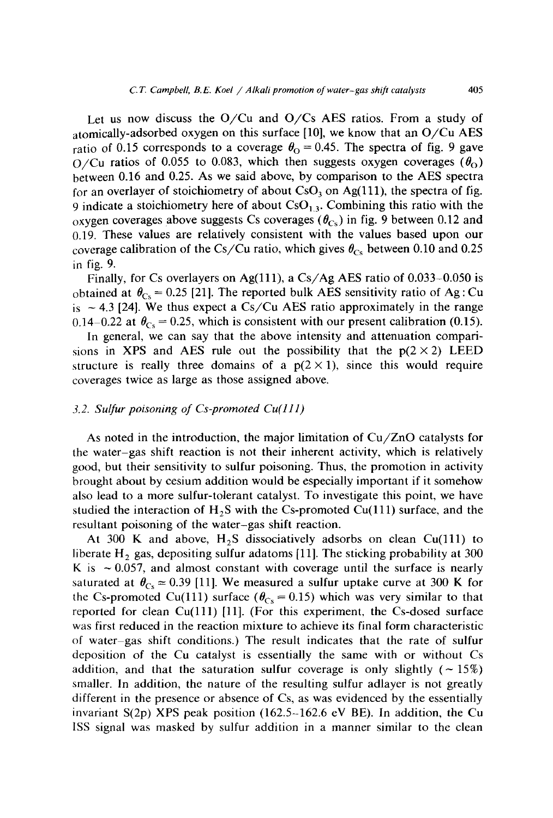Let us now discuss the  $O/Cu$  and  $O/Cs$  AES ratios. From a study of atomically-adsorbed oxygen on this surface [10], we know that an O/Cu AES ratio of 0.15 corresponds to a coverage  $\theta_{\Omega} = 0.45$ . The spectra of fig. 9 gave  $O/Cu$  ratios of 0.055 to 0.083, which then suggests oxygen coverages  $(\theta_0)$ between 0.16 and 0.25. As we said above, by comparison to the AES spectra for an overlayer of stoichiometry of about  $CsO<sub>3</sub>$  on Ag(111), the spectra of fig. 9 indicate a stoichiometry here of about  $\text{CsO}_{1,3}$ . Combining this ratio with the oxygen coverages above suggests Cs coverages ( $\theta_{\text{cs}}$ ) in fig. 9 between 0.12 and 0.19. These values are relatively consistent with the values based upon our coverage calibration of the Cs/Cu ratio, which gives  $\theta_{\text{Cs}}$  between 0.10 and 0.25 in fig. 9.

Finally, for Cs overlayers on Ag(111), a Cs/Ag AES ratio of  $0.033-0.050$  is obtained at  $\theta_{Cs} = 0.25$  [21]. The reported bulk AES sensitivity ratio of Ag: Cu is  $\sim$  4.3 [24]. We thus expect a Cs/Cu AES ratio approximately in the range 0.14–0.22 at  $\theta_{\text{Cs}} = 0.25$ , which is consistent with our present calibration (0.15).

In general, we can say that the above intensity and attenuation comparisions in XPS and AES rule out the possibility that the  $p(2 \times 2)$  LEED structure is really three domains of a  $p(2 \times 1)$ , since this would require coverages twice as large as those assigned above.

### *3.2. Sulfur poisoning of Cs-promoted Cu(ll l)*

As noted in the introduction, the major limitation of Cu/ZnO catalysts for the water-gas shift reaction is not their inherent activity, which is relatively good, but their sensitivity to sulfur poisoning. Thus, the promotion in activity brought about by cesium addition would be especially important if it somehow also lead to a more sulfur-tolerant catalyst. To investigate this point, we have studied the interaction of  $H_2S$  with the Cs-promoted Cu(111) surface, and the resultant poisoning of the water-gas shift reaction.

At 300 K and above,  $H_2S$  dissociatively adsorbs on clean Cu(111) to liberate  $H_2$  gas, depositing sulfur adatoms [11]. The sticking probability at 300 K is  $\sim 0.057$ , and almost constant with coverage until the surface is nearly saturated at  $\theta_{\text{Cs}} \approx 0.39$  [11]. We measured a sulfur uptake curve at 300 K for the Cs-promoted Cu(111) surface  $(\theta_{Cs} = 0.15)$  which was very similar to that reported for clean Cu(lll) [11]. (For this experiment, the Cs-dosed surface was first reduced in the reaction mixture to achieve its final form characteristic of water-gas shift conditions.) The result indicates that the rate of sulfur deposition of the Cu catalyst is essentially the same with or without Cs addition, and that the saturation sulfur coverage is only slightly  $(-15%)$ smaller. In addition, the nature of the resulting sulfur adlayer is not greatly different in the presence or absence of Cs, as was evidenced by the essentially invariant  $S(2p)$  XPS peak position (162.5-162.6 eV BE). In addition, the Cu ISS signal was masked by sulfur addition in a manner similar to the clean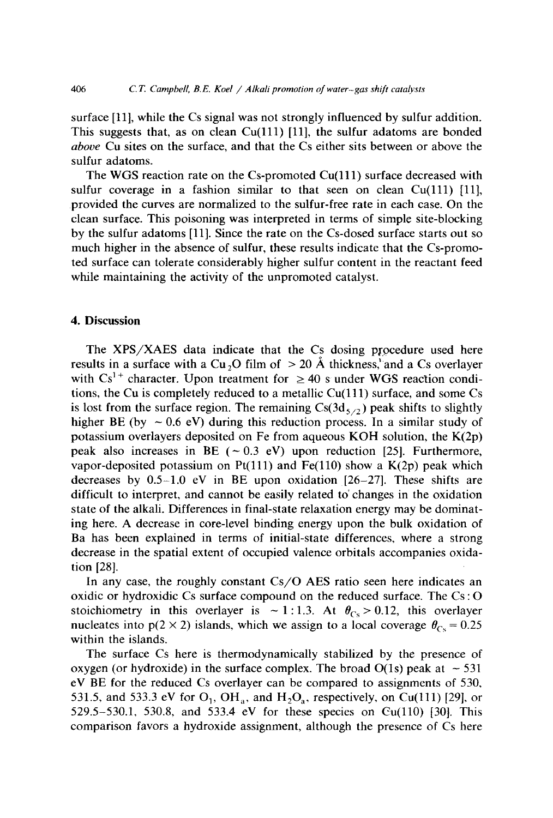surface [11], while the Cs signal was not strongly influenced by sulfur addition. This suggests that, as on clean  $Cu(111)$  [11], the sulfur adatoms are bonded *above* Cu sites on the surface, and that the Cs either sits between or above the sulfur adatoms.

The WGS reaction rate on the Cs-promoted  $Cu(111)$  surface decreased with sulfur coverage in a fashion similar to that seen on clean Cu(111) [11], provided the curves are normalized to the sulfur-free rate in each case. On the clean surface. This poisoning was interpreted in terms of simple site-blocking by the sulfur adatoms [11]. Since the rate on the Cs-dosed surface starts out so much higher in the absence of sulfur, these results indicate that the Cs-promoted surface can tolerate considerably higher sulfur content in the reactant feed while maintaining the activity of the unpromoted catalyst.

### **4. Discussion**

The  $XPS/XAES$  data indicate that the Cs dosing procedure used here results in a surface with a Cu<sub>2</sub>O film of  $> 20$  Å thickness, and a Cs overlayer with  $Cs^{1+}$  character. Upon treatment for  $\geq 40$  s under WGS reaction conditions, the Cu is completely reduced to a metallic Cu(111) surface, and some Cs is lost from the surface region. The remaining  $Cs(3d<sub>5/2</sub>)$  peak shifts to slightly higher BE (by  $\sim 0.6$  eV) during this reduction process. In a similar study of potassium overlayers deposited on Fe from aqueous KOH solution, the K(2p) peak also increases in BE ( $\sim 0.3$  eV) upon reduction [25]. Furthermore, vapor-deposited potassium on Pt(111) and Fe(110) show a  $K(2p)$  peak which decreases by  $0.5-1.0$  eV in BE upon oxidation  $[26-27]$ . These shifts are difficult to interpret, and cannot be easily related to' changes in the oxidation state of the alkali. Differences in final-state relaxation energy may be dominating here. A decrease in core-level binding energy upon the bulk oxidation of Ba has been explained in terms of initial-state differences, where a strong decrease in the spatial extent of occupied valence orbitals accompanies oxidation [28].

In any case, the roughly constant *Cs/O* AES ratio seen here indicates an oxidic or hydroxidic Cs surface compound on the reduced surface. The Cs : O stoichiometry in this overlayer is  $\sim 1:1.3$ . At  $\theta_{\text{Cs}} > 0.12$ , this overlayer nucleates into  $p(2 \times 2)$  islands, which we assign to a local coverage  $\theta_{Cs} = 0.25$ within the islands.

The surface Cs here is thermodynamically stabilized by the presence of oxygen (or hydroxide) in the surface complex. The broad  $O(1s)$  peak at  $\sim$  531 eV BE for the reduced Cs overlayer can be compared to assignments of 530, 531.5, and 533.3 eV for  $O_1$ ,  $OH_a$ , and  $H_2O_a$ , respectively, on Cu(111) [29], or 529.5-530.1, 530.8, and 533.4 eV for these species on  $Cu(110)$  [30]. This comparison favors a hydroxide assignment, although the presence of Cs here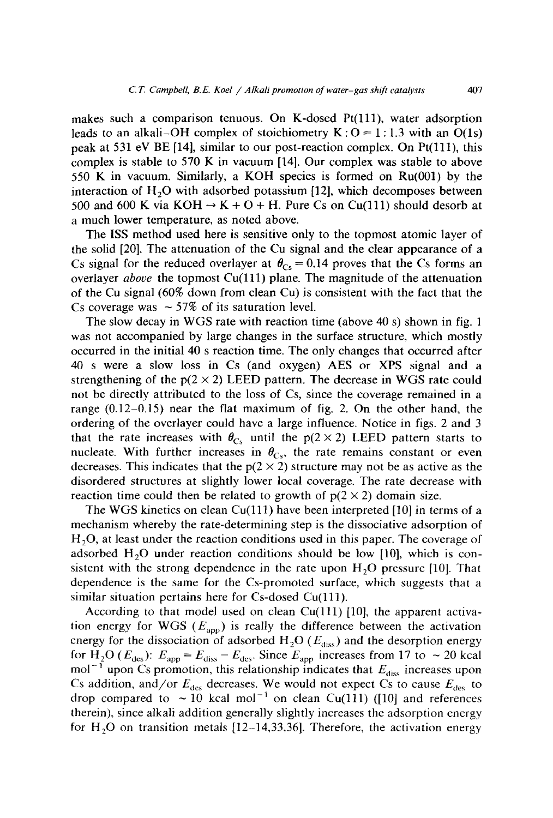makes such a comparison tenuous. On K-dosed Pt(lll), water adsorption leads to an alkali–OH complex of stoichiometry  $K: O = 1:1.3$  with an O(1s) peak at 531 eV BE [14], similar to our post-reaction complex. On Pt(lll), this complex is stable to 570 K in vacuum [14]. Our complex was stable to above 550 K in vacuum. Similarly, a KOH species is formed on Ru(001) by the interaction of  $H<sub>2</sub>O$  with adsorbed potassium [12], which decomposes between 500 and 600 K via KOH  $\rightarrow$  K + O + H. Pure Cs on Cu(111) should desorb at a much lower temperature, as noted above.

The ISS method used here is sensitive only to the topmost atomic layer of the solid [20]. The attenuation of the Cu signal and the clear appearance of a Cs signal for the reduced overlayer at  $\theta_{\text{Cs}} = 0.14$  proves that the Cs forms an overlayer *above* the topmost Cu(111) plane. The magnitude of the attenuation of the Cu signal (60% down from clean Cu) is consistent with the fact that the Cs coverage was  $\sim$  57% of its saturation level.

The slow decay in WGS rate with reaction time (above 40 s) shown in fig. 1 was not accompanied by large changes in the surface structure, which mostly occurred in the initial 40 s reaction time. The only changes that occurred after 40 s were a slow loss in Cs (and oxygen) AES or XPS signal and a strengthening of the  $p(2 \times 2)$  LEED pattern. The decrease in WGS rate could not be directly attributed to the loss of Cs, since the coverage remained in a range (0.12-0.15) near the flat maximum of fig. 2. On the other hand, the ordering of the overlayer could have a large influence. Notice in figs. 2 and 3 that the rate increases with  $\theta_{\text{Cs}}$  until the p(2 × 2) LEED pattern starts to nucleate. With further increases in  $\theta_{Cs}$ , the rate remains constant or even decreases. This indicates that the  $p(2 \times 2)$  structure may not be as active as the disordered structures at slightly lower local coverage. The rate decrease with reaction time could then be related to growth of  $p(2 \times 2)$  domain size.

The WGS kinetics on clean Cu(111) have been interpreted [10] in terms of a mechanism whereby the rate-determining step is the dissociative adsorption of  $H<sub>2</sub>O$ , at least under the reaction conditions used in this paper. The coverage of adsorbed  $H<sub>2</sub>O$  under reaction conditions should be low [10], which is consistent with the strong dependence in the rate upon  $H<sub>2</sub>O$  pressure [10]. That dependence is the same for the Cs-promoted surface, which suggests that a similar situation pertains here for  $Cs$ -dosed  $Cu(111)$ .

According to that model used on clean  $Cu(111)$  [10], the apparent activation energy for WGS ( $E_{\text{app}}$ ) is really the difference between the activation energy for the dissociation of adsorbed  $H_2O$  ( $E_{diss}$ ) and the desorption energy for H<sub>2</sub>O ( $E_{\text{des}}$ ):  $E_{\text{app}} = E_{\text{diss}} - E_{\text{des}}$ . Since  $E_{\text{app}}$  increases from 17 to  $\sim$  20 kcal mol<sup>-1</sup> upon Cs promotion, this relationship indicates that  $E_{\text{diss}}$  increases upon Cs addition, and/or  $E_{\text{des}}$  decreases. We would not expect Cs to cause  $E_{\text{des}}$  to drop compared to  $\sim$  10 kcal mol<sup>-1</sup> on clean Cu(111) ([10] and references therein), since alkali addition generally slightly increases the adsorption energy for  $H<sub>2</sub>O$  on transition metals [12-14,33,36]. Therefore, the activation energy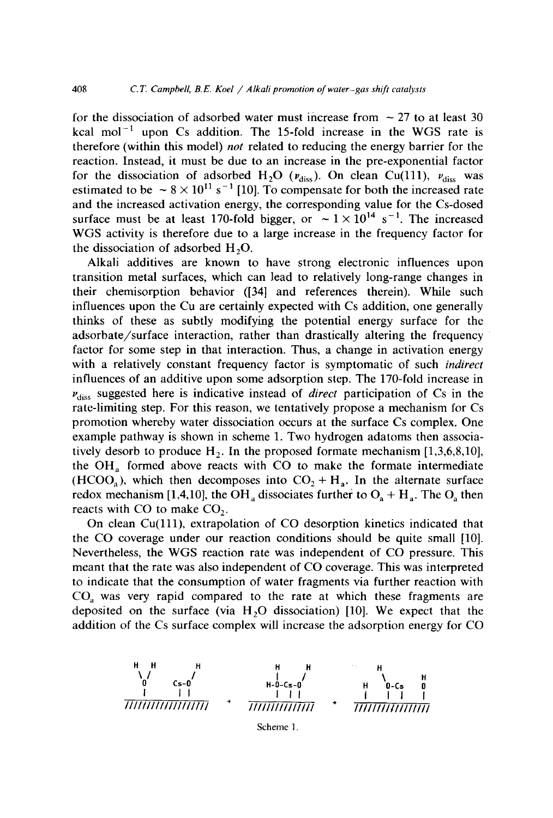for the dissociation of adsorbed water must increase from  $\sim$  27 to at least 30 kcal mol<sup> $-1$ </sup> upon Cs addition. The 15-fold increase in the WGS rate is therefore (within this model) *not* related to reducing the energy barrier for the reaction. Instead, it must be due to an increase in the pre-exponential factor for the dissociation of adsorbed H<sub>2</sub>O ( $v_{\text{diss}}$ ). On clean Cu(111),  $v_{\text{diss}}$  was estimated to be  $\sim 8 \times 10^{11}$  s<sup>-1</sup> [10]. To compensate for both the increased rate and the increased activation energy, the corresponding value for the Cs-dosed surface must be at least 170-fold bigger, or  $\sim 1 \times 10^{14}$  s<sup>-1</sup>. The increased WGS activity is therefore due to a large increase in the frequency factor for the dissociation of adsorbed  $H<sub>2</sub>O$ .

Alkali additives are known to have strong electronic influences upon transition metal surfaces, which can lead to relatively long-range changes in their chemisorption behavior ([34] and references therein). While such influences upon the Cu are certainly expected with Cs addition, one generally thinks of these as subtly modifying the potential energy surface for the adsorbate/surface interaction, rather than drastically altering the frequency factor for some step in that interaction. Thus, a change in activation energy with a relatively constant frequency factor is symptomatic of such *indirect*  influences of an additive upon some adsorption step. The 170-fold increase in  $v_{\text{diss}}$  suggested here is indicative instead of *direct* participation of Cs in the rate-limiting step. For this reason, we tentatively propose a mechanism for Cs promotion whereby water dissociation occurs at the surface Cs complex. One example pathway is shown in scheme 1. Two hydrogen adatoms then associatively desorb to produce  $H_2$ . In the proposed formate mechanism [1,3,6,8,10], the  $OH<sub>a</sub>$  formed above reacts with CO to make the formate intermediate (HCOO<sub>a</sub>), which then decomposes into  $CO<sub>2</sub> + H<sub>a</sub>$ . In the alternate surface redox mechanism [1,4,10], the OH<sub>a</sub> dissociates further to  $O_4 + H_a$ . The  $O_a$  then reacts with  $CO$  to make  $CO<sub>2</sub>$ .

On clean Cu(lll), extrapolation of CO desorption kinetics indicated that the CO coverage under our reaction conditions should be quite small [10]. Nevertheless, the WGS reaction rate was independent of CO pressure. This meant that the rate was also independent of CO coverage. This was interpreted to indicate that the consumption of water fragments via further reaction with  $CO<sub>a</sub>$  was very rapid compared to the rate at which these fragments are deposited on the surface (via  $H<sub>2</sub>O$  dissociation) [10]. We expect that the addition of the Cs surface complex will increase the adsorption energy for CO



**Scheme I.**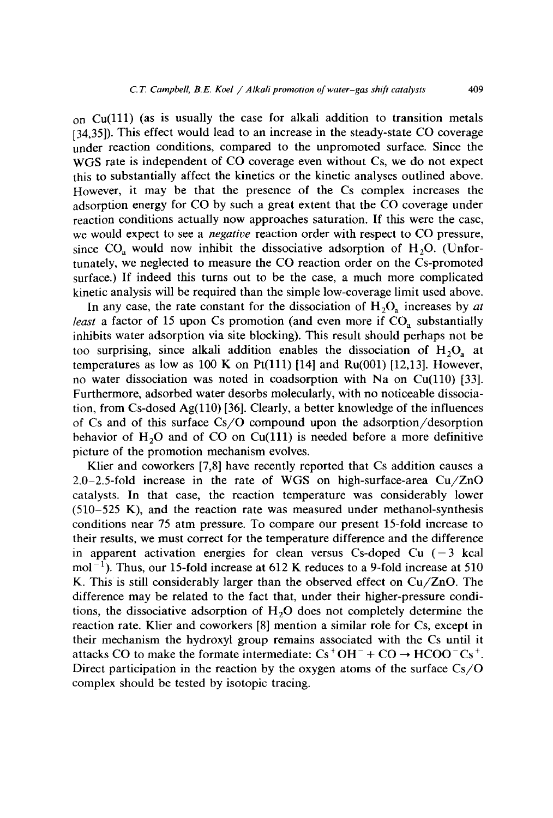on  $Cu(111)$  (as is usually the case for alkali addition to transition metals [34,35]). This effect would lead to an increase in the steady-state CO coverage under reaction conditions, compared to the unpromoted surface. Since the WGS rate is independent of CO coverage even without Cs, we do not expect this to substantially affect the kinetics or the kinetic analyses outlined above. However, it may be that the presence of the Cs complex increases the adsorption energy for CO by such a great extent that the CO coverage under reaction conditions actually now approaches saturation. If this were the case, we would expect to see a *negative* reaction order with respect to CO pressure, since  $CO<sub>a</sub>$  would now inhibit the dissociative adsorption of  $H<sub>2</sub>O$ . (Unfortunately, we neglected to measure the CO reaction order on the Cs-promoted surface.) If indeed this turns out to be the case, a much more complicated kinetic analysis will be required than the simple low-coverage limit used above.

In any case, the rate constant for the dissociation of  $H_2O_a$  increases by *at least* a factor of 15 upon Cs promotion (and even more if  $CO<sub>a</sub>$  substantially inhibits water adsorption via site blocking). This result should perhaps not be too surprising, since alkali addition enables the dissociation of  $H_2O_a$  at temperatures as low as 100 K on Pt(111) [14] and Ru(001) [12,13]. However, no water dissociation was noted in coadsorption with Na on  $Cu(110)$  [33]. Furthermore, adsorbed water desorbs molecularly, with no noticeable dissociation, from Cs-dosed Ag $(110)$  [36]. Clearly, a better knowledge of the influences of Cs and of this surface  $Cs/O$  compound upon the adsorption/desorption behavior of  $H_2O$  and of CO on Cu(111) is needed before a more definitive picture of the promotion mechanism evolves.

Klier and coworkers [7,8] have recently reported that Cs addition causes a 2.0-2.5-fold increase in the rate of WGS on high-surface-area Cu/ZnO catalysts. In that case, the reaction temperature was considerably lower  $(510-525)$  K), and the reaction rate was measured under methanol-synthesis conditions near 75 atm pressure. To compare our present 15-fold increase to their results, we must correct for the temperature difference and the difference in apparent activation energies for clean versus Cs-doped Cu  $(-3 \text{ kcal})$  $mol^{-1}$ ). Thus, our 15-fold increase at 612 K reduces to a 9-fold increase at 510 K. This is still considerably larger than the observed effect on Cu/ZnO. The difference may be related to the fact that, under their higher-pressure conditions, the dissociative adsorption of  $H<sub>2</sub>O$  does not completely determine the reaction rate. Klier and coworkers [8] mention a similar role for Cs, except in their mechanism the hydroxyl group remains associated with the Cs until it attacks CO to make the formate intermediate:  $Cs^+OH^- + CO \rightarrow HCOO^-Cs^+$ . Direct participation in the reaction by the oxygen atoms of the surface  $Cs/O$ complex should be tested by isotopic tracing.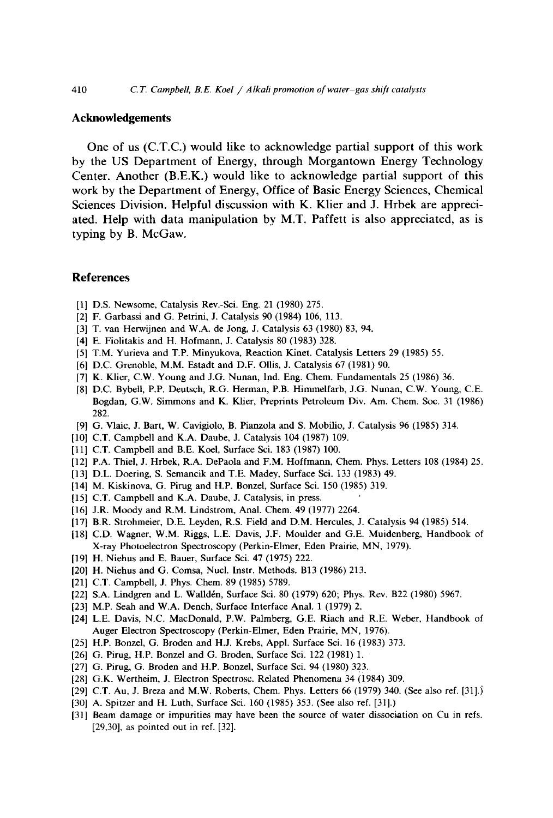### Acknowledgements

One of us (C.T.C.) would like to acknowledge partial support of this work by the US Department of Energy, through Morgantown Energy Technology Center. Another (B.E.K.) would like to acknowledge partial support of this work by the Department of Energy, Office of Basic Energy Sciences, Chemical Sciences Division. Helpful discussion with K. Klier and J. Hrbek are appreciated. Help with data manipulation by M.T. Paffett is also appreciated, as is typing by B. McGaw.

#### **References**

- [1] D.S. Newsome, Catalysis Rev.-Sci. Eng. 21 (1980) 275.
- [2] F. Garbassi and G. Petrini, J. Catalysis 90 (1984) 106, 113.
- [3] T. van Herwijnen and W.A. de Jong, J. Catalysis 63 (1980) 83, 94.
- [4] E. Fiolitakis and H. Hofmann, J. Catalysis 80 (1983) 328.
- [5] T.M. Yurieva and T.P. Minyukova, Reaction Kinet. Catalysis Letters 29 (1985) 55.
- [6] D.C. Grenoble, M.M. Estadt and D.F. Ollis, J. Catalysis 67 (1981) 90.
- [7] K. Klier, C.W. Young and J.G. Nunan, Ind. Eng. Chem. Fundamentals 25 (1986) 36.
- [8] D.C. Bybell, P.P. Deutsch, R.G. Herman, P.B. Himmelfarb, J.G. Nunan, C.W. Young, C.E. Bogdan, G.W. Simmons and K. Klier, Preprints Petroleum Div. Am. Chem. Soc. 31 (1986) 282.
- [9] G. Vlaic, J. Bart, W. Cavigiolo, B. Pianzola and S. Mobilio, J. Catalysis 96 (1985) 314.
- [10] C.T. Campbell and K.A. Daube, J. Catalysis 104 (1987) 109.
- [11] C.T. Campbell and B.E. Koel, Surface Sci. 183 (1987) 100.
- [12] P.A. Thiel, J. Hrbek, R.A. DePaola and F.M. Hoffmann, Chem. Phys. Letters 108 (1984) 25.
- [13] D.L. Doering, S. Semancik and T.E. Madey, Surface Sci. 133 (1983) 49.
- [14] M. Kiskinova, G. Pirug and H.P. Bonzel, Surface Sci. 150 (1985) 319.
- [15] C.T. Campbell and K.A. Daube, J. Catalysis, in press.
- [16] J.R. Moody and R.M. Lindstrom, Anal. Chem. 49 (1977) 2264.
- [17] B.R. Strohmeier, D.E. Leyden, R.S. Field and D.M. Hercules, J. Catalysis 94 (1985) 514.
- [18] C.D. Wagner, W.M. Riggs, L.E. Davis, J.F. Moulder and G.E. Muidenberg, Handbook of X-ray Photoelectron Spectroscopy (Perkin-Elmer, Eden Prairie, MN, 1979).
- [19] H. Niehus and E. Bauer, Surface Sci. 47 (1975) 222.
- [20] H. Niehus and G. Comsa, Nucl. Instr. Methods. B13 (1986) 213.
- [21] C.T. Campbell, J. Phys. Chem. 89 (1985) 5789.
- [22] S.A. Lindgren and L. Walldén, Surface Sci. 80 (1979) 620; Phys. Rev. B22 (1980) 5967.
- [23] M.P. Seah and W.A. Dench, Surface Interface Anal. 1 (1979) 2.
- [24] L.E. Davis, N.C. MacDonald, P.W. Palmberg, G.E. Riach and R.E. Weber, Handbook of Auger Electron Spectroscopy (Perkin-Elmer, Eden Prairie, MN, 1976).
- [25] H.P. Bonzel, G. Broden and H.J. Krebs, Appl. Surface Sci. 16 (1983) 373.
- [26] G. Pirug, H.P. Bonzel and G. Broden, Surface Sci. 122 (1981) 1.
- [27] G. Pirug, G. Broden and H.P. Bonzel, Surface Sci. 94 (1980) 323.
- [28] G.K. Wertheim, J. Electron Spectrosc. Related Phenomena 34 (1984) 309.
- [29] C.T. Au, J. Breza and M.W. Roberts, Chem. Phys. Letters 66 (1979) 340. (See also ref. [31].)
- [30] A. Spitzer and H. Luth, Surface Sci. 160 (1985) 353. (See also ref. [31].)
- [31] Beam damage or impurities may have been the source of water dissociation on Cu in refs. [29,30], as pointed out in ref. [32].